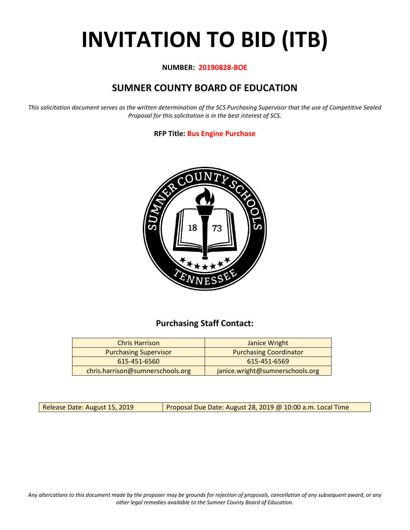# **INVITATION TO BID (ITB)**

#### **NUMBER: 20190828-BOE**

## **SUMNER COUNTY BOARD OF EDUCATION**

*This solicitation document serves as the written determination of the SCS Purchasing Supervisor that the use of Competitive Sealed Proposal for this solicitation is in the best interest of SCS.*

#### **RFP Title: Bus Engine Purchase**



## **Purchasing Staff Contact:**

| <b>Chris Harrison</b>            | Janice Wright                   |  |  |  |  |
|----------------------------------|---------------------------------|--|--|--|--|
| <b>Purchasing Supervisor</b>     | <b>Purchasing Coordinator</b>   |  |  |  |  |
| 615-451-6560                     | 615-451-6569                    |  |  |  |  |
| chris.harrison@sumnerschools.org | janice.wright@sumnerschools.org |  |  |  |  |

Release Date: August 15, 2019 | Proposal Due Date: August 28, 2019 @ 10:00 a.m. Local Time

*Any altercations to this document made by the proposer may be grounds for rejection of proposals, cancellation of any subsequent award, or any other legal remedies available to the Sumner County Board of Education.*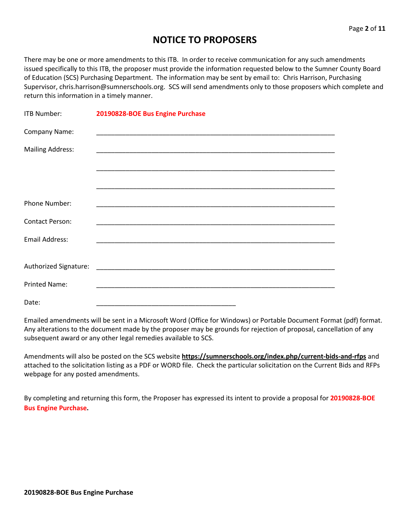## **NOTICE TO PROPOSERS**

There may be one or more amendments to this ITB. In order to receive communication for any such amendments issued specifically to this ITB, the proposer must provide the information requested below to the Sumner County Board of Education (SCS) Purchasing Department. The information may be sent by email to: Chris Harrison, Purchasing Supervisor, chris.harrison@sumnerschools.org. SCS will send amendments only to those proposers which complete and return this information in a timely manner.

| <b>ITB Number:</b>      | 20190828-BOE Bus Engine Purchase                                                                                    |
|-------------------------|---------------------------------------------------------------------------------------------------------------------|
| Company Name:           |                                                                                                                     |
| <b>Mailing Address:</b> |                                                                                                                     |
|                         |                                                                                                                     |
|                         |                                                                                                                     |
| <b>Phone Number:</b>    | <u> 1989 - Johann John Stoff, deutscher Stoffen und der Stoffen und der Stoffen und der Stoffen und der Stoffen</u> |
| <b>Contact Person:</b>  |                                                                                                                     |
| <b>Email Address:</b>   |                                                                                                                     |
|                         |                                                                                                                     |
| <b>Printed Name:</b>    |                                                                                                                     |
| Date:                   |                                                                                                                     |

Emailed amendments will be sent in a Microsoft Word (Office for Windows) or Portable Document Format (pdf) format. Any alterations to the document made by the proposer may be grounds for rejection of proposal, cancellation of any subsequent award or any other legal remedies available to SCS.

Amendments will also be posted on the SCS website **https://sumnerschools.org/index.php/current-bids-and-rfps** and attached to the solicitation listing as a PDF or WORD file. Check the particular solicitation on the Current Bids and RFPs webpage for any posted amendments.

By completing and returning this form, the Proposer has expressed its intent to provide a proposal for **20190828-BOE Bus Engine Purchase.**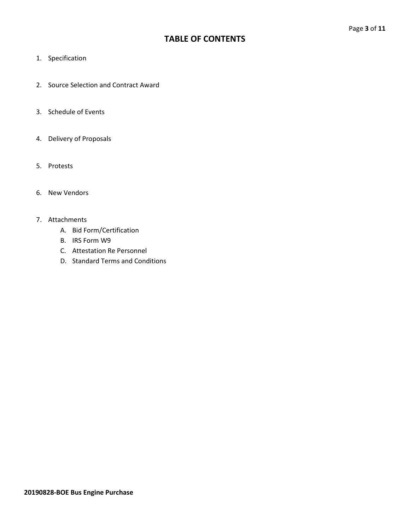## **TABLE OF CONTENTS**

- 1. Specification
- 2. Source Selection and Contract Award
- 3. Schedule of Events
- 4. Delivery of Proposals
- 5. Protests
- 6. New Vendors

#### 7. Attachments

- A. Bid Form/Certification
- B. IRS Form W9
- C. Attestation Re Personnel
- D. Standard Terms and Conditions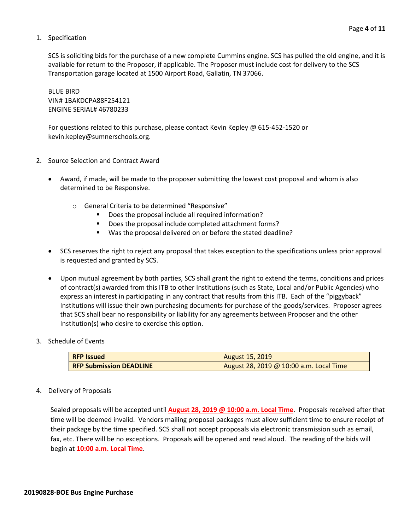#### 1. Specification

SCS is soliciting bids for the purchase of a new complete Cummins engine. SCS has pulled the old engine, and it is available for return to the Proposer, if applicable. The Proposer must include cost for delivery to the SCS Transportation garage located at 1500 Airport Road, Gallatin, TN 37066.

BLUE BIRD VIN# 1BAKDCPA88F254121 ENGINE SERIAL# 46780233

For questions related to this purchase, please contact Kevin Kepley @ 615-452-1520 or kevin.kepley@sumnerschools.org.

- 2. Source Selection and Contract Award
	- Award, if made, will be made to the proposer submitting the lowest cost proposal and whom is also determined to be Responsive.
		- o General Criteria to be determined "Responsive"
			- Does the proposal include all required information?
			- Does the proposal include completed attachment forms?
			- Was the proposal delivered on or before the stated deadline?
	- SCS reserves the right to reject any proposal that takes exception to the specifications unless prior approval is requested and granted by SCS.
	- Upon mutual agreement by both parties, SCS shall grant the right to extend the terms, conditions and prices of contract(s) awarded from this ITB to other Institutions (such as State, Local and/or Public Agencies) who express an interest in participating in any contract that results from this ITB. Each of the "piggyback" Institutions will issue their own purchasing documents for purchase of the goods/services. Proposer agrees that SCS shall bear no responsibility or liability for any agreements between Proposer and the other Institution(s) who desire to exercise this option.
- 3. Schedule of Events

| <b>RFP</b> Issued              | <b>August 15, 2019</b>                  |
|--------------------------------|-----------------------------------------|
| <b>RFP Submission DEADLINE</b> | August 28, 2019 @ 10:00 a.m. Local Time |

4. Delivery of Proposals

Sealed proposals will be accepted until **August 28, 2019 @ 10:00 a.m. Local Time**. Proposals received after that time will be deemed invalid. Vendors mailing proposal packages must allow sufficient time to ensure receipt of their package by the time specified. SCS shall not accept proposals via electronic transmission such as email, fax, etc. There will be no exceptions. Proposals will be opened and read aloud. The reading of the bids will begin at **10:00 a.m. Local Time**.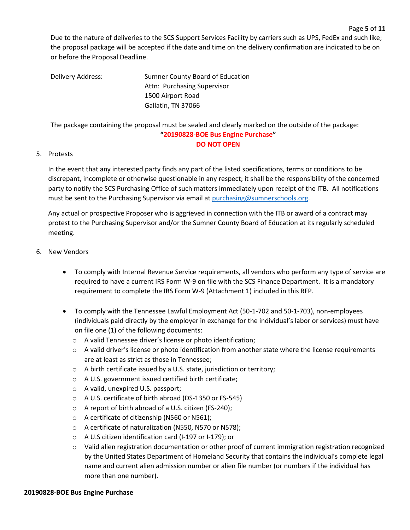Due to the nature of deliveries to the SCS Support Services Facility by carriers such as UPS, FedEx and such like; the proposal package will be accepted if the date and time on the delivery confirmation are indicated to be on or before the Proposal Deadline.

Page **5** of **11**

Delivery Address: Sumner County Board of Education Attn: Purchasing Supervisor 1500 Airport Road Gallatin, TN 37066

The package containing the proposal must be sealed and clearly marked on the outside of the package: **"20190828-BOE Bus Engine Purchase" DO NOT OPEN**

#### 5. Protests

In the event that any interested party finds any part of the listed specifications, terms or conditions to be discrepant, incomplete or otherwise questionable in any respect; it shall be the responsibility of the concerned party to notify the SCS Purchasing Office of such matters immediately upon receipt of the ITB. All notifications must be sent to the Purchasing Supervisor via email at [purchasing@sumnerschools.org.](mailto:purchasing@sumnerschools.org)

Any actual or prospective Proposer who is aggrieved in connection with the ITB or award of a contract may protest to the Purchasing Supervisor and/or the Sumner County Board of Education at its regularly scheduled meeting.

#### 6. New Vendors

- To comply with Internal Revenue Service requirements, all vendors who perform any type of service are required to have a current IRS Form W-9 on file with the SCS Finance Department. It is a mandatory requirement to complete the IRS Form W-9 (Attachment 1) included in this RFP.
- To comply with the Tennessee Lawful Employment Act (50-1-702 and 50-1-703), non-employees (individuals paid directly by the employer in exchange for the individual's labor or services) must have on file one (1) of the following documents:
	- o A valid Tennessee driver's license or photo identification;
	- $\circ$  A valid driver's license or photo identification from another state where the license requirements are at least as strict as those in Tennessee;
	- o A birth certificate issued by a U.S. state, jurisdiction or territory;
	- o A U.S. government issued certified birth certificate;
	- o A valid, unexpired U.S. passport;
	- o A U.S. certificate of birth abroad (DS-1350 or FS-545)
	- o A report of birth abroad of a U.S. citizen (FS-240);
	- o A certificate of citizenship (N560 or N561);
	- o A certificate of naturalization (N550, N570 or N578);
	- o A U.S citizen identification card (I-197 or I-179); or
	- $\circ$  Valid alien registration documentation or other proof of current immigration registration recognized by the United States Department of Homeland Security that contains the individual's complete legal name and current alien admission number or alien file number (or numbers if the individual has more than one number).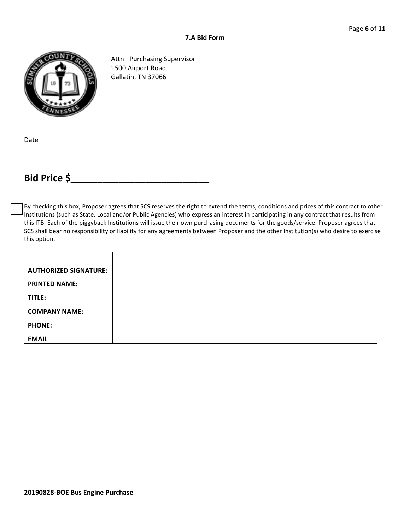

Attn: Purchasing Supervisor 1500 Airport Road Gallatin, TN 37066

Date\_\_\_\_\_\_\_\_\_\_\_\_\_\_\_\_\_\_\_\_\_\_\_\_\_\_\_\_

# **Bid Price \$\_\_\_\_\_\_\_\_\_\_\_\_\_\_\_\_\_\_\_\_\_\_\_\_\_\_**

By checking this box, Proposer agrees that SCS reserves the right to extend the terms, conditions and prices of this contract to other Institutions (such as State, Local and/or Public Agencies) who express an interest in participating in any contract that results from this ITB. Each of the piggyback Institutions will issue their own purchasing documents for the goods/service. Proposer agrees that SCS shall bear no responsibility or liability for any agreements between Proposer and the other Institution(s) who desire to exercise this option.

| <b>AUTHORIZED SIGNATURE:</b> |  |
|------------------------------|--|
| <b>PRINTED NAME:</b>         |  |
| TITLE:                       |  |
| <b>COMPANY NAME:</b>         |  |
| <b>PHONE:</b>                |  |
| <b>EMAIL</b>                 |  |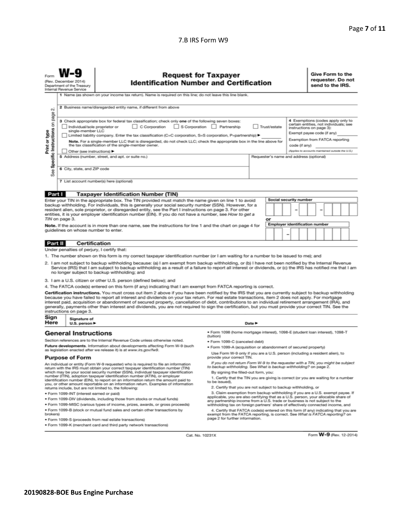#### 7.B IRS Form W9

| Form                                                                                                                                                                                                                                                                                                                                                                                                                                                                                                                                                                                                                                                                                      | (Rev. December 2014)<br>Internal Revenue Service                                                                                                                                                                                                                                                                                                                                                                                                                                                                                                                                               | <b>Request for Taxpayer</b><br><b>Identification Number and Certification</b><br>Department of the Treasury |                                                                                                                                                                                                                                                                                                                                                                                                                                    |                                                                                                                                                                                                                                                                                                      |                            |  |                                                                                                                                                                                                  |                                         |  | Give Form to the<br>requester. Do not<br>send to the IRS. |  |  |  |  |  |
|-------------------------------------------------------------------------------------------------------------------------------------------------------------------------------------------------------------------------------------------------------------------------------------------------------------------------------------------------------------------------------------------------------------------------------------------------------------------------------------------------------------------------------------------------------------------------------------------------------------------------------------------------------------------------------------------|------------------------------------------------------------------------------------------------------------------------------------------------------------------------------------------------------------------------------------------------------------------------------------------------------------------------------------------------------------------------------------------------------------------------------------------------------------------------------------------------------------------------------------------------------------------------------------------------|-------------------------------------------------------------------------------------------------------------|------------------------------------------------------------------------------------------------------------------------------------------------------------------------------------------------------------------------------------------------------------------------------------------------------------------------------------------------------------------------------------------------------------------------------------|------------------------------------------------------------------------------------------------------------------------------------------------------------------------------------------------------------------------------------------------------------------------------------------------------|----------------------------|--|--------------------------------------------------------------------------------------------------------------------------------------------------------------------------------------------------|-----------------------------------------|--|-----------------------------------------------------------|--|--|--|--|--|
|                                                                                                                                                                                                                                                                                                                                                                                                                                                                                                                                                                                                                                                                                           | 1 Name (as shown on your income tax return). Name is required on this line; do not leave this line blank.                                                                                                                                                                                                                                                                                                                                                                                                                                                                                      |                                                                                                             |                                                                                                                                                                                                                                                                                                                                                                                                                                    |                                                                                                                                                                                                                                                                                                      |                            |  |                                                                                                                                                                                                  |                                         |  |                                                           |  |  |  |  |  |
| οû<br>page                                                                                                                                                                                                                                                                                                                                                                                                                                                                                                                                                                                                                                                                                | 2 Business name/disregarded entity name, if different from above                                                                                                                                                                                                                                                                                                                                                                                                                                                                                                                               |                                                                                                             |                                                                                                                                                                                                                                                                                                                                                                                                                                    |                                                                                                                                                                                                                                                                                                      |                            |  |                                                                                                                                                                                                  |                                         |  |                                                           |  |  |  |  |  |
| Specific Instructions on<br>Print or type                                                                                                                                                                                                                                                                                                                                                                                                                                                                                                                                                                                                                                                 | 3 Check appropriate box for federal tax classification; check only one of the following seven boxes:<br>C Corporation<br>S Corporation Partnership<br>Trust/estate<br>Individual/sole proprietor or<br>instructions on page 3):<br>single-member LLC<br>Limited liability company. Enter the tax classification (C=C corporation, S=S corporation, P=partnership) ▶<br>Note. For a single-member LLC that is disregarded, do not check LLC; check the appropriate box in the line above for<br>the tax classification of the single-member owner.<br>code (if any)<br>Other (see instructions) |                                                                                                             |                                                                                                                                                                                                                                                                                                                                                                                                                                    |                                                                                                                                                                                                                                                                                                      |                            |  | 4 Exemptions (codes apply only to<br>certain entities, not individuals; see<br>Exempt payee code (if any)<br>Exemption from FATCA reporting<br>(Applies to accounts maintained outside the U.S.) |                                         |  |                                                           |  |  |  |  |  |
|                                                                                                                                                                                                                                                                                                                                                                                                                                                                                                                                                                                                                                                                                           |                                                                                                                                                                                                                                                                                                                                                                                                                                                                                                                                                                                                |                                                                                                             | 5 Address (number, street, and apt. or suite no.)                                                                                                                                                                                                                                                                                                                                                                                  |                                                                                                                                                                                                                                                                                                      |                            |  |                                                                                                                                                                                                  | Requester's name and address (optional) |  |                                                           |  |  |  |  |  |
| See                                                                                                                                                                                                                                                                                                                                                                                                                                                                                                                                                                                                                                                                                       |                                                                                                                                                                                                                                                                                                                                                                                                                                                                                                                                                                                                | 6 City, state, and ZIP code                                                                                 |                                                                                                                                                                                                                                                                                                                                                                                                                                    |                                                                                                                                                                                                                                                                                                      |                            |  |                                                                                                                                                                                                  |                                         |  |                                                           |  |  |  |  |  |
|                                                                                                                                                                                                                                                                                                                                                                                                                                                                                                                                                                                                                                                                                           |                                                                                                                                                                                                                                                                                                                                                                                                                                                                                                                                                                                                |                                                                                                             | 7 List account number(s) here (optional)                                                                                                                                                                                                                                                                                                                                                                                           |                                                                                                                                                                                                                                                                                                      |                            |  |                                                                                                                                                                                                  |                                         |  |                                                           |  |  |  |  |  |
|                                                                                                                                                                                                                                                                                                                                                                                                                                                                                                                                                                                                                                                                                           |                                                                                                                                                                                                                                                                                                                                                                                                                                                                                                                                                                                                |                                                                                                             |                                                                                                                                                                                                                                                                                                                                                                                                                                    |                                                                                                                                                                                                                                                                                                      |                            |  |                                                                                                                                                                                                  |                                         |  |                                                           |  |  |  |  |  |
| Part I                                                                                                                                                                                                                                                                                                                                                                                                                                                                                                                                                                                                                                                                                    |                                                                                                                                                                                                                                                                                                                                                                                                                                                                                                                                                                                                |                                                                                                             | <b>Taxpayer Identification Number (TIN)</b>                                                                                                                                                                                                                                                                                                                                                                                        |                                                                                                                                                                                                                                                                                                      |                            |  |                                                                                                                                                                                                  |                                         |  |                                                           |  |  |  |  |  |
| Social security number<br>Enter your TIN in the appropriate box. The TIN provided must match the name given on line 1 to avoid<br>backup withholding. For individuals, this is generally your social security number (SSN). However, for a<br>resident alien, sole proprietor, or disregarded entity, see the Part I instructions on page 3. For other<br>entities, it is your employer identification number (EIN). If you do not have a number, see How to get a<br>TIN on page 3.<br>or<br><b>Employer identification number</b><br>Note. If the account is in more than one name, see the instructions for line 1 and the chart on page 4 for<br>guidelines on whose number to enter. |                                                                                                                                                                                                                                                                                                                                                                                                                                                                                                                                                                                                |                                                                                                             |                                                                                                                                                                                                                                                                                                                                                                                                                                    |                                                                                                                                                                                                                                                                                                      |                            |  |                                                                                                                                                                                                  |                                         |  |                                                           |  |  |  |  |  |
|                                                                                                                                                                                                                                                                                                                                                                                                                                                                                                                                                                                                                                                                                           |                                                                                                                                                                                                                                                                                                                                                                                                                                                                                                                                                                                                |                                                                                                             |                                                                                                                                                                                                                                                                                                                                                                                                                                    |                                                                                                                                                                                                                                                                                                      |                            |  |                                                                                                                                                                                                  |                                         |  |                                                           |  |  |  |  |  |
| Part II                                                                                                                                                                                                                                                                                                                                                                                                                                                                                                                                                                                                                                                                                   |                                                                                                                                                                                                                                                                                                                                                                                                                                                                                                                                                                                                |                                                                                                             | Certification                                                                                                                                                                                                                                                                                                                                                                                                                      |                                                                                                                                                                                                                                                                                                      |                            |  |                                                                                                                                                                                                  |                                         |  |                                                           |  |  |  |  |  |
|                                                                                                                                                                                                                                                                                                                                                                                                                                                                                                                                                                                                                                                                                           |                                                                                                                                                                                                                                                                                                                                                                                                                                                                                                                                                                                                |                                                                                                             | Under penalties of perjury, I certify that:                                                                                                                                                                                                                                                                                                                                                                                        |                                                                                                                                                                                                                                                                                                      |                            |  |                                                                                                                                                                                                  |                                         |  |                                                           |  |  |  |  |  |
|                                                                                                                                                                                                                                                                                                                                                                                                                                                                                                                                                                                                                                                                                           |                                                                                                                                                                                                                                                                                                                                                                                                                                                                                                                                                                                                |                                                                                                             | 1. The number shown on this form is my correct taxpayer identification number (or I am waiting for a number to be issued to me); and                                                                                                                                                                                                                                                                                               |                                                                                                                                                                                                                                                                                                      |                            |  |                                                                                                                                                                                                  |                                         |  |                                                           |  |  |  |  |  |
| 2. I am not subject to backup withholding because: (a) I am exempt from backup withholding, or (b) I have not been notified by the Internal Revenue<br>Service (IRS) that I am subject to backup withholding as a result of a failure to report all interest or dividends, or (c) the IRS has notified me that I am<br>no longer subject to backup withholding; and                                                                                                                                                                                                                                                                                                                       |                                                                                                                                                                                                                                                                                                                                                                                                                                                                                                                                                                                                |                                                                                                             |                                                                                                                                                                                                                                                                                                                                                                                                                                    |                                                                                                                                                                                                                                                                                                      |                            |  |                                                                                                                                                                                                  |                                         |  |                                                           |  |  |  |  |  |
|                                                                                                                                                                                                                                                                                                                                                                                                                                                                                                                                                                                                                                                                                           |                                                                                                                                                                                                                                                                                                                                                                                                                                                                                                                                                                                                |                                                                                                             | 3. I am a U.S. citizen or other U.S. person (defined below); and                                                                                                                                                                                                                                                                                                                                                                   |                                                                                                                                                                                                                                                                                                      |                            |  |                                                                                                                                                                                                  |                                         |  |                                                           |  |  |  |  |  |
|                                                                                                                                                                                                                                                                                                                                                                                                                                                                                                                                                                                                                                                                                           |                                                                                                                                                                                                                                                                                                                                                                                                                                                                                                                                                                                                |                                                                                                             | 4. The FATCA code(s) entered on this form (if any) indicating that I am exempt from FATCA reporting is correct.                                                                                                                                                                                                                                                                                                                    |                                                                                                                                                                                                                                                                                                      |                            |  |                                                                                                                                                                                                  |                                         |  |                                                           |  |  |  |  |  |
| Certification instructions. You must cross out item 2 above if you have been notified by the IRS that you are currently subject to backup withholding<br>because you have failed to report all interest and dividends on your tax return. For real estate transactions, item 2 does not apply. For mortgage<br>interest paid, acquisition or abandonment of secured property, cancellation of debt, contributions to an individual retirement arrangement (IRA), and<br>generally, payments other than interest and dividends, you are not required to sign the certification, but you must provide your correct TIN. See the<br>instructions on page 3.                                  |                                                                                                                                                                                                                                                                                                                                                                                                                                                                                                                                                                                                |                                                                                                             |                                                                                                                                                                                                                                                                                                                                                                                                                                    |                                                                                                                                                                                                                                                                                                      |                            |  |                                                                                                                                                                                                  |                                         |  |                                                           |  |  |  |  |  |
| Sign<br>Here                                                                                                                                                                                                                                                                                                                                                                                                                                                                                                                                                                                                                                                                              | Signature of<br>U.S. person $\blacktriangleright$                                                                                                                                                                                                                                                                                                                                                                                                                                                                                                                                              |                                                                                                             |                                                                                                                                                                                                                                                                                                                                                                                                                                    |                                                                                                                                                                                                                                                                                                      | Date $\blacktriangleright$ |  |                                                                                                                                                                                                  |                                         |  |                                                           |  |  |  |  |  |
|                                                                                                                                                                                                                                                                                                                                                                                                                                                                                                                                                                                                                                                                                           | · Form 1098 (home mortgage interest), 1098-E (student loan interest), 1098-T                                                                                                                                                                                                                                                                                                                                                                                                                                                                                                                   |                                                                                                             |                                                                                                                                                                                                                                                                                                                                                                                                                                    |                                                                                                                                                                                                                                                                                                      |                            |  |                                                                                                                                                                                                  |                                         |  |                                                           |  |  |  |  |  |
|                                                                                                                                                                                                                                                                                                                                                                                                                                                                                                                                                                                                                                                                                           | <b>General Instructions</b><br>(tuition)                                                                                                                                                                                                                                                                                                                                                                                                                                                                                                                                                       |                                                                                                             |                                                                                                                                                                                                                                                                                                                                                                                                                                    |                                                                                                                                                                                                                                                                                                      |                            |  |                                                                                                                                                                                                  |                                         |  |                                                           |  |  |  |  |  |
|                                                                                                                                                                                                                                                                                                                                                                                                                                                                                                                                                                                                                                                                                           | Section references are to the Internal Revenue Code unless otherwise noted.<br>· Form 1099-C (canceled debt)<br>Future developments. Information about developments affecting Form W-9 (such                                                                                                                                                                                                                                                                                                                                                                                                   |                                                                                                             |                                                                                                                                                                                                                                                                                                                                                                                                                                    |                                                                                                                                                                                                                                                                                                      |                            |  |                                                                                                                                                                                                  |                                         |  |                                                           |  |  |  |  |  |
|                                                                                                                                                                                                                                                                                                                                                                                                                                                                                                                                                                                                                                                                                           | · Form 1099-A (acquisition or abandonment of secured property)<br>as legislation enacted after we release it) is at www.irs.gov/fw9.<br>Use Form W-9 only if you are a U.S. person (including a resident alien), to                                                                                                                                                                                                                                                                                                                                                                            |                                                                                                             |                                                                                                                                                                                                                                                                                                                                                                                                                                    |                                                                                                                                                                                                                                                                                                      |                            |  |                                                                                                                                                                                                  |                                         |  |                                                           |  |  |  |  |  |
|                                                                                                                                                                                                                                                                                                                                                                                                                                                                                                                                                                                                                                                                                           | <b>Purpose of Form</b>                                                                                                                                                                                                                                                                                                                                                                                                                                                                                                                                                                         |                                                                                                             |                                                                                                                                                                                                                                                                                                                                                                                                                                    | provide your correct TIN.                                                                                                                                                                                                                                                                            |                            |  |                                                                                                                                                                                                  |                                         |  |                                                           |  |  |  |  |  |
|                                                                                                                                                                                                                                                                                                                                                                                                                                                                                                                                                                                                                                                                                           |                                                                                                                                                                                                                                                                                                                                                                                                                                                                                                                                                                                                |                                                                                                             | An individual or entity (Form W-9 requester) who is required to file an information<br>return with the IRS must obtain your correct taxpayer identification number (TIN)<br>which may be your social security number (SSN), individual taxpayer identification<br>number (ITIN), adoption taxpayer identification number (ATIN), or employer<br>identification number (EIN), to report on an information return the amount paid to | If you do not return Form W-9 to the requester with a TIN, you might be subject<br>to backup withholding. See What is backup withholding? on page 2.<br>By signing the filled-out form, you:<br>1. Certify that the TIN you are giving is correct (or you are waiting for a number<br>to be issued). |                            |  |                                                                                                                                                                                                  |                                         |  |                                                           |  |  |  |  |  |
|                                                                                                                                                                                                                                                                                                                                                                                                                                                                                                                                                                                                                                                                                           |                                                                                                                                                                                                                                                                                                                                                                                                                                                                                                                                                                                                |                                                                                                             | you, or other amount reportable on an information return. Examples of information<br>returns include, but are not limited to, the following:                                                                                                                                                                                                                                                                                       | 2. Certify that you are not subject to backup withholding, or                                                                                                                                                                                                                                        |                            |  |                                                                                                                                                                                                  |                                         |  |                                                           |  |  |  |  |  |

- · Form 1099-INT (interest earned or paid)
- . Form 1099-DIV (dividends, including those from stocks or mutual funds)
- · Form 1099-MISC (various types of income, prizes, awards, or gross proceeds) . Form 1099-B (stock or mutual fund sales and certain other transactions by
- brokers)
- · Form 1099-S (proceeds from real estate transactions)
- . Form 1099-K (merchant card and third party network transactions)
- 2. Calim exemption from backup withholding if you are a U.S. exempt payee. If applicable, you are also certifying that as a U.S. Express, your area from backup withholding if you are a. U.S. exempt payee. If applicable, yo

4. Certify that FATCA code(s) entered on this form (if any) indicating that you are<br>exempt from the FATCA reporting, is correct. See What is FATCA reporting? on<br>page 2 for further information.

Cat. No. 10231X

Form W-9 (Rev. 12-2014)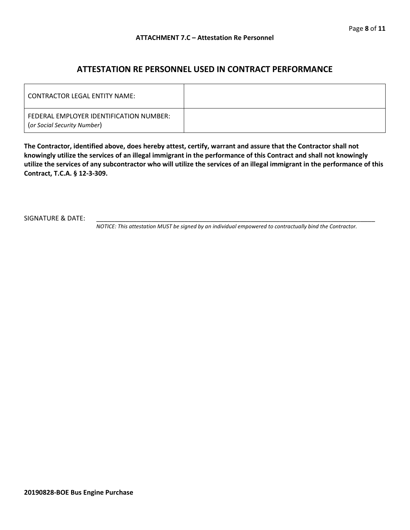### **ATTESTATION RE PERSONNEL USED IN CONTRACT PERFORMANCE**

| CONTRACTOR LEGAL ENTITY NAME:                                          |  |
|------------------------------------------------------------------------|--|
| FEDERAL EMPLOYER IDENTIFICATION NUMBER:<br>(or Social Security Number) |  |

**The Contractor, identified above, does hereby attest, certify, warrant and assure that the Contractor shall not knowingly utilize the services of an illegal immigrant in the performance of this Contract and shall not knowingly utilize the services of any subcontractor who will utilize the services of an illegal immigrant in the performance of this Contract, T.C.A. § 12-3-309.**

SIGNATURE & DATE:

*NOTICE: This attestation MUST be signed by an individual empowered to contractually bind the Contractor.*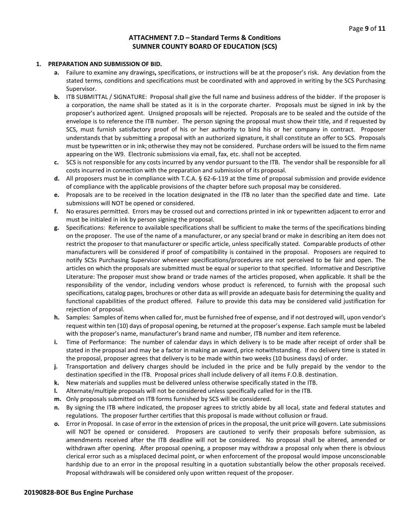#### **ATTACHMENT 7.D – Standard Terms & Conditions SUMNER COUNTY BOARD OF EDUCATION (SCS)**

#### **1. PREPARATION AND SUBMISSION OF BID.**

- **a.** Failure to examine any drawings**,** specifications, or instructions will be at the proposer's risk. Any deviation from the stated terms, conditions and specifications must be coordinated with and approved in writing by the SCS Purchasing Supervisor.
- **b.** ITB SUBMITTAL / SIGNATURE: Proposal shall give the full name and business address of the bidder. If the proposer is a corporation, the name shall be stated as it is in the corporate charter. Proposals must be signed in ink by the proposer's authorized agent. Unsigned proposals will be rejected. Proposals are to be sealed and the outside of the envelope is to reference the ITB number. The person signing the proposal must show their title, and if requested by SCS, must furnish satisfactory proof of his or her authority to bind his or her company in contract. Proposer understands that by submitting a proposal with an authorized signature, it shall constitute an offer to SCS. Proposals must be typewritten or in ink; otherwise they may not be considered. Purchase orders will be issued to the firm name appearing on the W9. Electronic submissions via email, fax, etc. shall not be accepted.
- **c.** SCS is not responsible for any costs incurred by any vendor pursuant to the ITB. The vendor shall be responsible for all costs incurred in connection with the preparation and submission of its proposal.
- **d.** All proposers must be in compliance with T.C.A. § 62-6-119 at the time of proposal submission and provide evidence of compliance with the applicable provisions of the chapter before such proposal may be considered.
- **e.** Proposals are to be received in the location designated in the ITB no later than the specified date and time. Late submissions will NOT be opened or considered.
- **f.** No erasures permitted. Errors may be crossed out and corrections printed in ink or typewritten adjacent to error and must be initialed in ink by person signing the proposal.
- **g.** Specifications: Reference to available specifications shall be sufficient to make the terms of the specifications binding on the proposer. The use of the name of a manufacturer, or any special brand or make in describing an item does not restrict the proposer to that manufacturer or specific article, unless specifically stated. Comparable products of other manufacturers will be considered if proof of compatibility is contained in the proposal. Proposers are required to notify SCSs Purchasing Supervisor whenever specifications/procedures are not perceived to be fair and open. The articles on which the proposals are submitted must be equal or superior to that specified. Informative and Descriptive Literature: The proposer must show brand or trade names of the articles proposed, when applicable. It shall be the responsibility of the vendor, including vendors whose product is referenced, to furnish with the proposal such specifications, catalog pages, brochures or other data as will provide an adequate basis for determining the quality and functional capabilities of the product offered. Failure to provide this data may be considered valid justification for rejection of proposal.
- **h.** Samples: Samples of items when called for, must be furnished free of expense, and if not destroyed will, upon vendor's request within ten (10) days of proposal opening, be returned at the proposer's expense. Each sample must be labeled with the proposer's name, manufacturer's brand name and number, ITB number and item reference.
- **i.** Time of Performance: The number of calendar days in which delivery is to be made after receipt of order shall be stated in the proposal and may be a factor in making an award, price notwithstanding. If no delivery time is stated in the proposal, proposer agrees that delivery is to be made within two weeks (10 business days) of order.
- **j.** Transportation and delivery charges should be included in the price and be fully prepaid by the vendor to the destination specified in the ITB. Proposal prices shall include delivery of all items F.O.B. destination.
- **k.** New materials and supplies must be delivered unless otherwise specifically stated in the ITB.
- **l.** Alternate/multiple proposals will not be considered unless specifically called for in the ITB.
- **m.** Only proposals submitted on ITB forms furnished by SCS will be considered.
- **n.** By signing the ITB where indicated, the proposer agrees to strictly abide by all local, state and federal statutes and regulations. The proposer further certifies that this proposal is made without collusion or fraud.
- **o.** Error in Proposal. In case of error in the extension of prices in the proposal, the unit price will govern. Late submissions will NOT be opened or considered. Proposers are cautioned to verify their proposals before submission, as amendments received after the ITB deadline will not be considered. No proposal shall be altered, amended or withdrawn after opening. After proposal opening, a proposer may withdraw a proposal only when there is obvious clerical error such as a misplaced decimal point, or when enforcement of the proposal would impose unconscionable hardship due to an error in the proposal resulting in a quotation substantially below the other proposals received. Proposal withdrawals will be considered only upon written request of the proposer.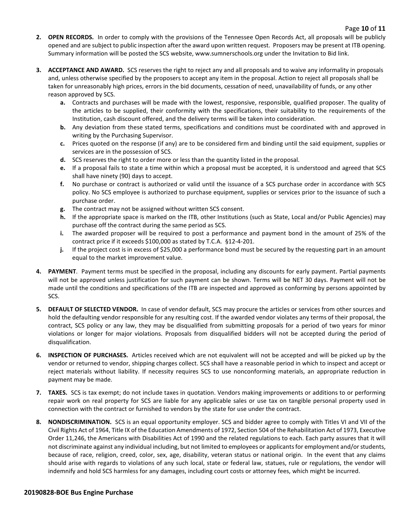- **2. OPEN RECORDS.** In order to comply with the provisions of the Tennessee Open Records Act, all proposals will be publicly opened and are subject to public inspection after the award upon written request. Proposers may be present at ITB opening. Summary information will be posted the SCS website, www.sumnerschools.org under the Invitation to Bid link.
- **3. ACCEPTANCE AND AWARD.** SCS reserves the right to reject any and all proposals and to waive any informality in proposals and, unless otherwise specified by the proposers to accept any item in the proposal. Action to reject all proposals shall be taken for unreasonably high prices, errors in the bid documents, cessation of need, unavailability of funds, or any other reason approved by SCS.
	- **a.** Contracts and purchases will be made with the lowest, responsive, responsible, qualified proposer. The quality of the articles to be supplied, their conformity with the specifications, their suitability to the requirements of the Institution, cash discount offered, and the delivery terms will be taken into consideration.
	- **b.** Any deviation from these stated terms, specifications and conditions must be coordinated with and approved in writing by the Purchasing Supervisor.
	- **c.** Prices quoted on the response (if any) are to be considered firm and binding until the said equipment, supplies or services are in the possession of SCS.
	- **d.** SCS reserves the right to order more or less than the quantity listed in the proposal.
	- **e.** If a proposal fails to state a time within which a proposal must be accepted, it is understood and agreed that SCS shall have ninety (90) days to accept.
	- **f.** No purchase or contract is authorized or valid until the issuance of a SCS purchase order in accordance with SCS policy. No SCS employee is authorized to purchase equipment, supplies or services prior to the issuance of such a purchase order.
	- **g.** The contract may not be assigned without written SCS consent.
	- **h.** If the appropriate space is marked on the ITB, other Institutions (such as State, Local and/or Public Agencies) may purchase off the contract during the same period as SCS.
	- **i.** The awarded proposer will be required to post a performance and payment bond in the amount of 25% of the contract price if it exceeds \$100,000 as stated by T.C.A. §12-4-201.
	- **j.** If the project cost is in excess of \$25,000 a performance bond must be secured by the requesting part in an amount equal to the market improvement value.
- **4. PAYMENT**. Payment terms must be specified in the proposal, including any discounts for early payment. Partial payments will not be approved unless justification for such payment can be shown. Terms will be NET 30 days. Payment will not be made until the conditions and specifications of the ITB are inspected and approved as conforming by persons appointed by SCS.
- **5. DEFAULT OF SELECTED VENDOR.** In case of vendor default, SCS may procure the articles or services from other sources and hold the defaulting vendor responsible for any resulting cost. If the awarded vendor violates any terms of their proposal, the contract, SCS policy or any law, they may be disqualified from submitting proposals for a period of two years for minor violations or longer for major violations. Proposals from disqualified bidders will not be accepted during the period of disqualification.
- **6. INSPECTION OF PURCHASES.** Articles received which are not equivalent will not be accepted and will be picked up by the vendor or returned to vendor, shipping charges collect. SCS shall have a reasonable period in which to inspect and accept or reject materials without liability. If necessity requires SCS to use nonconforming materials, an appropriate reduction in payment may be made.
- **7. TAXES.** SCS is tax exempt; do not include taxes in quotation. Vendors making improvements or additions to or performing repair work on real property for SCS are liable for any applicable sales or use tax on tangible personal property used in connection with the contract or furnished to vendors by the state for use under the contract.
- **8. NONDISCRIMINATION.** SCS is an equal opportunity employer. SCS and bidder agree to comply with Titles VI and VII of the Civil Rights Act of 1964, Title IX of the Education Amendments of 1972, Section 504 of the Rehabilitation Act of 1973, Executive Order 11,246, the Americans with Disabilities Act of 1990 and the related regulations to each. Each party assures that it will not discriminate against any individual including, but not limited to employees or applicants for employment and/or students, because of race, religion, creed, color, sex, age, disability, veteran status or national origin. In the event that any claims should arise with regards to violations of any such local, state or federal law, statues, rule or regulations, the vendor will indemnify and hold SCS harmless for any damages, including court costs or attorney fees, which might be incurred.